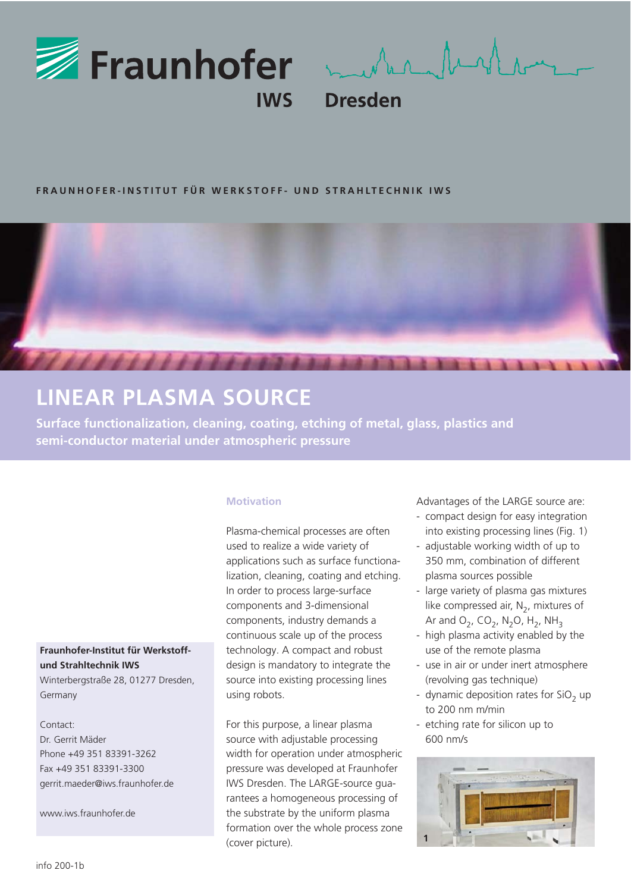

mustar frittan

**Dresden** 

# **FRAUNHOFER-INSTITUT FÜR WERKSTOFF- UND STRAHLTECHNIK IWS**



# **LINEAR PLASMA SOURCE**

**Surface functionalization, cleaning, coating, etching of metal, glass, plastics and semi-conductor material under atmospheric pressure**

## **Motivation**

Plasma-chemical processes are often used to realize a wide variety of applications such as surface functionalization, cleaning, coating and etching. In order to process large-surface components and 3-dimensional components, industry demands a continuous scale up of the process technology. A compact and robust design is mandatory to integrate the source into existing processing lines using robots.

For this purpose, a linear plasma source with adjustable processing width for operation under atmospheric pressure was developed at Fraunhofer IWS Dresden. The LARGE-source guarantees a homogeneous processing of the substrate by the uniform plasma formation over the whole process zone (cover picture).

Advantages of the LARGE source are:

- compact design for easy integration into existing processing lines (Fig. 1)
- adjustable working width of up to 350 mm, combination of different plasma sources possible
- large variety of plasma gas mixtures like compressed air,  $N<sub>2</sub>$ , mixtures of Ar and  $O_2$ , CO<sub>2</sub>, N<sub>2</sub>O, H<sub>2</sub>, NH<sub>3</sub>
- high plasma activity enabled by the use of the remote plasma
- use in air or under inert atmosphere (revolving gas technique)
- dynamic deposition rates for  $SiO<sub>2</sub>$  up to 200 nm m/min
- etching rate for silicon up to 600 nm/s



## **Fraunhofer-Institut für Werkstoffund Strahltechnik IWS**  Winterbergstraße 28, 01277 Dresden,

Germany

## Contact:

Dr. Gerrit Mäder Phone +49 351 83391-3262 Fax +49 351 83391-3300 gerrit.maeder@iws.fraunhofer.de

www.iws.fraunhofer.de